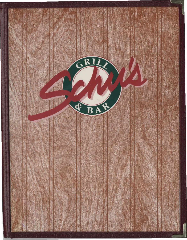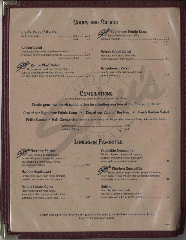# **SOUPS AND SALADS**

#### Chef's Soup of the Day

cup .......... 2.25 bowl.......... 3.25

#### **Capsar Salad**

Traditional Caesar with housebaked croutons, add chicken or tuna ....... 7.75

### **Schu's Chef Salad**

Mixed greens, roast beef, turkey, ham, Colby & Swiss cheese wedges, tomato, cucumber 

## **WA Signature Potato Soup** Topped with Cheddar cheese, ...

# bowl.......... 3.25

## **Schu's Steak Salad**

Marinated flank steak, chargrilled 

#### **Greenhouse Salad**

Schu's house salad with mixed greens. 

3.25

## **COMBINATIONS**

All combinations accompanied by housebaked fresh bread

Create your own lunch combination by selecting any two of the following items:

Cup of our Signature Potato Soup . Cup of our Soup of the Day . Fresh Garden Salad

Petite Caesar • Half Sandwich (Choice of Smoked Turkey with Pepper Slaw, American Turkey Salad or Club Panini)

# **LUNCHEON FAVORITES**

## **Sizzling Fajitas**

Beef, chicken or combination served with grilled onlons and peppers, sour cream and fresh salsa, cheese, 8.95 

#### Nachos Southwest

Tortilla chips, black bean salsa, tomatoes, 

### **Schu's Potato Skins**

Crispy skins topped with bacon, tomatoes, scallions, peppers and onions; 

#### Vegetable Quesadilla

Blended cheeses, onions and peppers, scallions, mild green chilles & tomatoes; 

## Chicken Quesadilla

| Grilled chicken strips, sauteed peppers & onions,    |     |
|------------------------------------------------------|-----|
| mixed Colby & Jack cheeses and our special marinade; |     |
| served with salsa and sour cream.                    | 8.5 |

#### Quiche

Deep dish style, made daily with chef's choice of fresh ingredients; 

To better serve parties of 8 or more a 16% gratuity will be added to the check (no separate checks please). Please refrain from cigar smoking.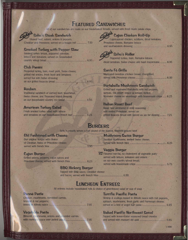# **FEATURED SANDWICHES**

All of our sandwiches are made on our housebaked breads, served with fresh made potato chips

7.50

6.95

## **Schu's Steak Sandwich**

|                                                  | -Shaved beef, salami, onions & peppers, |  |
|--------------------------------------------------|-----------------------------------------|--|
| Cheddar and Provolone; served on a hoagie roll : |                                         |  |

### **Smoked Turkey with Pepper Slaw**

|                     |  | Smoked turkey breast, peppered coleslaw, |                                            |  |
|---------------------|--|------------------------------------------|--------------------------------------------|--|
|                     |  |                                          | lettuce and tomatoes; served on housebaked |  |
| country wheat bread |  |                                          |                                            |  |

### **Club Panini**

Peppered turkey, ham, roast pork, Swiss cheese, grilled red onions, fresh basil and tomatoes: served hot with Italian dressing on our grilled focaccia bread......... 6.95

#### **Reuben**

Traditional sandwich of corned beef, sauerkraut. Swiss cheese, and Thousand Island dressing on our housebaked country rye bread ......... 6.95

#### **American Turkey Salad**

Fresh smoked turkey salad with lettuce 

# **M<sup>/A</sup>** Cajun Chicken Roll-Up

Cajun-spiced chicken, scallions, diced tomatoes, Provolone cheese, Romaine lettuce 

## **Schu's Roller**

Peppered turkey, ham, Romaine lettuce, diced tomatoes, Swiss cheese and basil mayonnaise.......... 6.95

#### Santa Fé Grille

Marinated boneless chicken breast, chargrilled, 

### Portabella Mushroom Sandwich

Grilled and marinated Portabella with red peppers. sprouts, red onion, lettuce & tomato; melted. Muenster cheese on sourdough with housemade chips ..... 6.25

#### **Italian Roast Boof**

Roast beef simmered in mild seasoning. with melted Provolone; served on grilled focaccia bread with spiced au jus for dipping.......... 7.25

## **BURGERS**

Schu's proudly serves a half pound of the leanest, freshest ground beef

#### Old Fashioned with Cheese

Our original burger with choice of Cheddar, Swiss or Provolone cheese; 

#### **Cajun Burger**

Grilled onions, peppers, cajun spices and 

## **BBQ Hickory Burger**

5.95

Topped with BBQ sauce, Cheddar cheese 

# **LUNCHEON ENTREES**

All entrees include housebaked rolls & choice of greenhouse salad or cup of soup

#### Ponné Pasta

Chicken, mushrooms, shredded carrots, broccoll & red peppers; lossed in Alfredo sauce Superintendent Case 7.95

#### Vegetable Pasta

Broccoli, mushrooms, onions and sirredded carrots 

#### **Terrific Pacific Pasta**

Shrimp & scallops tossed in Alfredo sauce with red peppers, spinach, mushrooms, fresh garlic and Parmesan cheese; 

#### **Baked Pacific Northwest Scrod**

Topped with lemon-butter seasoned bread crumbs 

11096

Fat Flavored non-fat, no cholesterol all vegetable patty served with lettuce, tomatoes and onions on our own country wheat bread;

**Veggie Burger** 

**Mushroom Swiss Burger** 

Sautéed mushrooms, melted Swiss cheese: